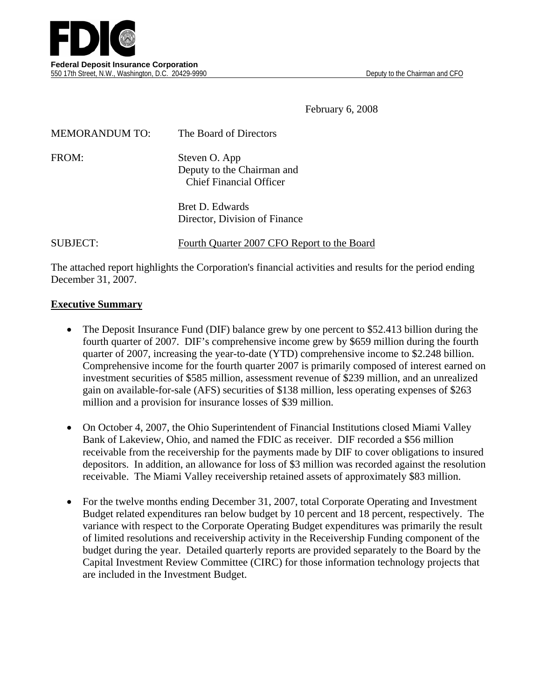

February 6, 2008

| <b>MEMORANDUM TO:</b> | The Board of Directors                                                        |
|-----------------------|-------------------------------------------------------------------------------|
| FROM:                 | Steven O. App<br>Deputy to the Chairman and<br><b>Chief Financial Officer</b> |
|                       | Bret D. Edwards<br>Director, Division of Finance                              |

SUBJECT: Fourth Quarter 2007 CFO Report to the Board

The attached report highlights the Corporation's financial activities and results for the period ending December 31, 2007.

#### **Executive Summary**

- The Deposit Insurance Fund (DIF) balance grew by one percent to \$52.413 billion during the fourth quarter of 2007. DIF's comprehensive income grew by \$659 million during the fourth quarter of 2007, increasing the year-to-date (YTD) comprehensive income to \$2.248 billion. Comprehensive income for the fourth quarter 2007 is primarily composed of interest earned on investment securities of \$585 million, assessment revenue of \$239 million, and an unrealized gain on available-for-sale (AFS) securities of \$138 million, less operating expenses of \$263 million and a provision for insurance losses of \$39 million.
- On October 4, 2007, the Ohio Superintendent of Financial Institutions closed Miami Valley Bank of Lakeview, Ohio, and named the FDIC as receiver. DIF recorded a \$56 million receivable from the receivership for the payments made by DIF to cover obligations to insured depositors. In addition, an allowance for loss of \$3 million was recorded against the resolution receivable. The Miami Valley receivership retained assets of approximately \$83 million.
- For the twelve months ending December 31, 2007, total Corporate Operating and Investment Budget related expenditures ran below budget by 10 percent and 18 percent, respectively. The variance with respect to the Corporate Operating Budget expenditures was primarily the result of limited resolutions and receivership activity in the Receivership Funding component of the budget during the year. Detailed quarterly reports are provided separately to the Board by the Capital Investment Review Committee (CIRC) for those information technology projects that are included in the Investment Budget.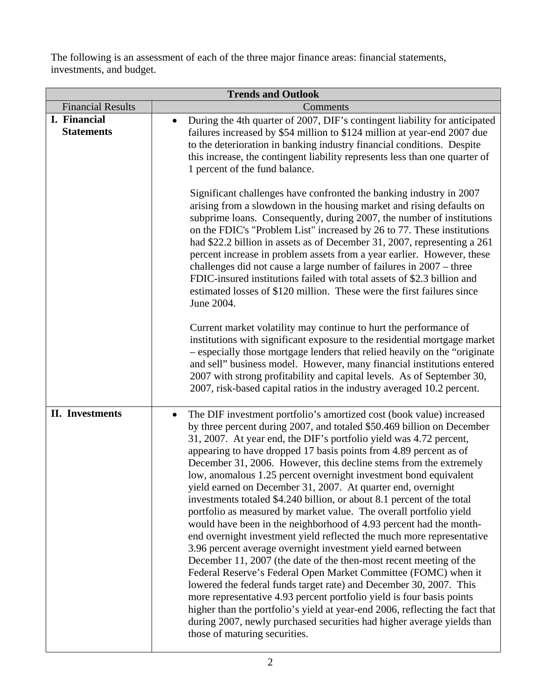The following is an assessment of each of the three major finance areas: financial statements, investments, and budget.

| <b>Trends and Outlook</b>         |                                                                                                                                                                                                                                                                                                                                                                                                                                                                                                                                                                                                                                                                                                                                                                                                                                                                                                                                                                                                                                                                                                                                                                                                                                                                                                                                                                    |  |  |  |  |  |
|-----------------------------------|--------------------------------------------------------------------------------------------------------------------------------------------------------------------------------------------------------------------------------------------------------------------------------------------------------------------------------------------------------------------------------------------------------------------------------------------------------------------------------------------------------------------------------------------------------------------------------------------------------------------------------------------------------------------------------------------------------------------------------------------------------------------------------------------------------------------------------------------------------------------------------------------------------------------------------------------------------------------------------------------------------------------------------------------------------------------------------------------------------------------------------------------------------------------------------------------------------------------------------------------------------------------------------------------------------------------------------------------------------------------|--|--|--|--|--|
| <b>Financial Results</b>          | Comments                                                                                                                                                                                                                                                                                                                                                                                                                                                                                                                                                                                                                                                                                                                                                                                                                                                                                                                                                                                                                                                                                                                                                                                                                                                                                                                                                           |  |  |  |  |  |
| I. Financial<br><b>Statements</b> | During the 4th quarter of 2007, DIF's contingent liability for anticipated<br>٠<br>failures increased by \$54 million to \$124 million at year-end 2007 due<br>to the deterioration in banking industry financial conditions. Despite<br>this increase, the contingent liability represents less than one quarter of<br>1 percent of the fund balance.                                                                                                                                                                                                                                                                                                                                                                                                                                                                                                                                                                                                                                                                                                                                                                                                                                                                                                                                                                                                             |  |  |  |  |  |
|                                   | Significant challenges have confronted the banking industry in 2007<br>arising from a slowdown in the housing market and rising defaults on<br>subprime loans. Consequently, during 2007, the number of institutions<br>on the FDIC's "Problem List" increased by 26 to 77. These institutions<br>had \$22.2 billion in assets as of December 31, 2007, representing a 261<br>percent increase in problem assets from a year earlier. However, these<br>challenges did not cause a large number of failures in 2007 – three<br>FDIC-insured institutions failed with total assets of \$2.3 billion and<br>estimated losses of \$120 million. These were the first failures since<br>June 2004.                                                                                                                                                                                                                                                                                                                                                                                                                                                                                                                                                                                                                                                                     |  |  |  |  |  |
|                                   | Current market volatility may continue to hurt the performance of<br>institutions with significant exposure to the residential mortgage market<br>- especially those mortgage lenders that relied heavily on the "originate<br>and sell" business model. However, many financial institutions entered<br>2007 with strong profitability and capital levels. As of September 30,<br>2007, risk-based capital ratios in the industry averaged 10.2 percent.                                                                                                                                                                                                                                                                                                                                                                                                                                                                                                                                                                                                                                                                                                                                                                                                                                                                                                          |  |  |  |  |  |
| <b>II.</b> Investments            | The DIF investment portfolio's amortized cost (book value) increased<br>$\bullet$<br>by three percent during 2007, and totaled \$50.469 billion on December<br>31, 2007. At year end, the DIF's portfolio yield was 4.72 percent,<br>appearing to have dropped 17 basis points from 4.89 percent as of<br>December 31, 2006. However, this decline stems from the extremely<br>low, anomalous 1.25 percent overnight investment bond equivalent<br>yield earned on December 31, 2007. At quarter end, overnight<br>investments totaled \$4.240 billion, or about 8.1 percent of the total<br>portfolio as measured by market value. The overall portfolio yield<br>would have been in the neighborhood of 4.93 percent had the month-<br>end overnight investment yield reflected the much more representative<br>3.96 percent average overnight investment yield earned between<br>December 11, 2007 (the date of the then-most recent meeting of the<br>Federal Reserve's Federal Open Market Committee (FOMC) when it<br>lowered the federal funds target rate) and December 30, 2007. This<br>more representative 4.93 percent portfolio yield is four basis points<br>higher than the portfolio's yield at year-end 2006, reflecting the fact that<br>during 2007, newly purchased securities had higher average yields than<br>those of maturing securities. |  |  |  |  |  |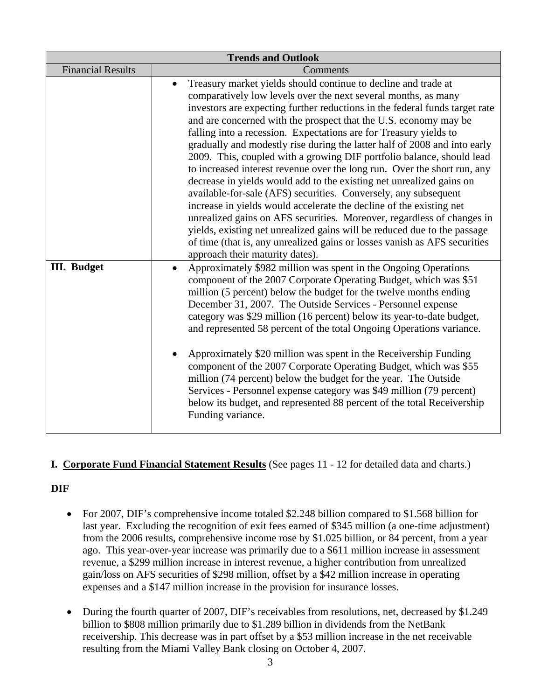| <b>Trends and Outlook</b> |                                                                                                                                                                                                                                                                                                                                                                                                                                                                                                                                                                                                                                                                                                                                                                                                                                                                                                                                                                                                                                                                                                 |  |  |  |  |  |
|---------------------------|-------------------------------------------------------------------------------------------------------------------------------------------------------------------------------------------------------------------------------------------------------------------------------------------------------------------------------------------------------------------------------------------------------------------------------------------------------------------------------------------------------------------------------------------------------------------------------------------------------------------------------------------------------------------------------------------------------------------------------------------------------------------------------------------------------------------------------------------------------------------------------------------------------------------------------------------------------------------------------------------------------------------------------------------------------------------------------------------------|--|--|--|--|--|
| <b>Financial Results</b>  | Comments                                                                                                                                                                                                                                                                                                                                                                                                                                                                                                                                                                                                                                                                                                                                                                                                                                                                                                                                                                                                                                                                                        |  |  |  |  |  |
|                           | Treasury market yields should continue to decline and trade at<br>$\bullet$<br>comparatively low levels over the next several months, as many<br>investors are expecting further reductions in the federal funds target rate<br>and are concerned with the prospect that the U.S. economy may be<br>falling into a recession. Expectations are for Treasury yields to<br>gradually and modestly rise during the latter half of 2008 and into early<br>2009. This, coupled with a growing DIF portfolio balance, should lead<br>to increased interest revenue over the long run. Over the short run, any<br>decrease in yields would add to the existing net unrealized gains on<br>available-for-sale (AFS) securities. Conversely, any subsequent<br>increase in yields would accelerate the decline of the existing net<br>unrealized gains on AFS securities. Moreover, regardless of changes in<br>yields, existing net unrealized gains will be reduced due to the passage<br>of time (that is, any unrealized gains or losses vanish as AFS securities<br>approach their maturity dates). |  |  |  |  |  |
| <b>III.</b> Budget        | Approximately \$982 million was spent in the Ongoing Operations<br>$\bullet$<br>component of the 2007 Corporate Operating Budget, which was \$51<br>million (5 percent) below the budget for the twelve months ending<br>December 31, 2007. The Outside Services - Personnel expense<br>category was \$29 million (16 percent) below its year-to-date budget,<br>and represented 58 percent of the total Ongoing Operations variance.<br>Approximately \$20 million was spent in the Receivership Funding<br>component of the 2007 Corporate Operating Budget, which was \$55<br>million (74 percent) below the budget for the year. The Outside<br>Services - Personnel expense category was \$49 million (79 percent)<br>below its budget, and represented 88 percent of the total Receivership<br>Funding variance.                                                                                                                                                                                                                                                                          |  |  |  |  |  |

#### **I. Corporate Fund Financial Statement Results** (See pages 11 - 12 for detailed data and charts.)

#### **DIF**

- For 2007, DIF's comprehensive income totaled \$2.248 billion compared to \$1.568 billion for last year. Excluding the recognition of exit fees earned of \$345 million (a one-time adjustment) from the 2006 results, comprehensive income rose by \$1.025 billion, or 84 percent, from a year ago. This year-over-year increase was primarily due to a \$611 million increase in assessment revenue, a \$299 million increase in interest revenue, a higher contribution from unrealized gain/loss on AFS securities of \$298 million, offset by a \$42 million increase in operating expenses and a \$147 million increase in the provision for insurance losses.
- During the fourth quarter of 2007, DIF's receivables from resolutions, net, decreased by \$1.249 billion to \$808 million primarily due to \$1.289 billion in dividends from the NetBank receivership. This decrease was in part offset by a \$53 million increase in the net receivable resulting from the Miami Valley Bank closing on October 4, 2007.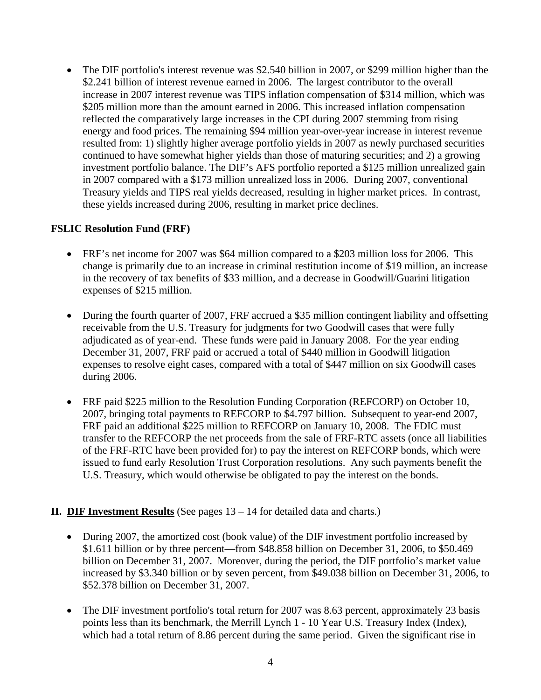• The DIF portfolio's interest revenue was \$2.540 billion in 2007, or \$299 million higher than the \$2.241 billion of interest revenue earned in 2006. The largest contributor to the overall increase in 2007 interest revenue was TIPS inflation compensation of \$314 million, which was \$205 million more than the amount earned in 2006. This increased inflation compensation reflected the comparatively large increases in the CPI during 2007 stemming from rising energy and food prices. The remaining \$94 million year-over-year increase in interest revenue resulted from: 1) slightly higher average portfolio yields in 2007 as newly purchased securities continued to have somewhat higher yields than those of maturing securities; and 2) a growing investment portfolio balance. The DIF's AFS portfolio reported a \$125 million unrealized gain in 2007 compared with a \$173 million unrealized loss in 2006. During 2007, conventional Treasury yields and TIPS real yields decreased, resulting in higher market prices. In contrast, these yields increased during 2006, resulting in market price declines.

#### **FSLIC Resolution Fund (FRF)**

- FRF's net income for 2007 was \$64 million compared to a \$203 million loss for 2006. This change is primarily due to an increase in criminal restitution income of \$19 million, an increase in the recovery of tax benefits of \$33 million, and a decrease in Goodwill/Guarini litigation expenses of \$215 million.
- During the fourth quarter of 2007, FRF accrued a \$35 million contingent liability and offsetting receivable from the U.S. Treasury for judgments for two Goodwill cases that were fully adjudicated as of year-end. These funds were paid in January 2008. For the year ending December 31, 2007, FRF paid or accrued a total of \$440 million in Goodwill litigation expenses to resolve eight cases, compared with a total of \$447 million on six Goodwill cases during 2006.
- FRF paid \$225 million to the Resolution Funding Corporation (REFCORP) on October 10, 2007, bringing total payments to REFCORP to \$4.797 billion. Subsequent to year-end 2007, FRF paid an additional \$225 million to REFCORP on January 10, 2008. The FDIC must transfer to the REFCORP the net proceeds from the sale of FRF-RTC assets (once all liabilities of the FRF-RTC have been provided for) to pay the interest on REFCORP bonds, which were issued to fund early Resolution Trust Corporation resolutions. Any such payments benefit the U.S. Treasury, which would otherwise be obligated to pay the interest on the bonds.

#### **II. DIF Investment Results** (See pages 13 – 14 for detailed data and charts.)

- During 2007, the amortized cost (book value) of the DIF investment portfolio increased by \$1.611 billion or by three percent—from \$48.858 billion on December 31, 2006, to \$50.469 billion on December 31, 2007. Moreover, during the period, the DIF portfolio's market value increased by \$3.340 billion or by seven percent, from \$49.038 billion on December 31, 2006, to \$52.378 billion on December 31, 2007.
- The DIF investment portfolio's total return for 2007 was 8.63 percent, approximately 23 basis points less than its benchmark, the Merrill Lynch 1 - 10 Year U.S. Treasury Index (Index), which had a total return of 8.86 percent during the same period. Given the significant rise in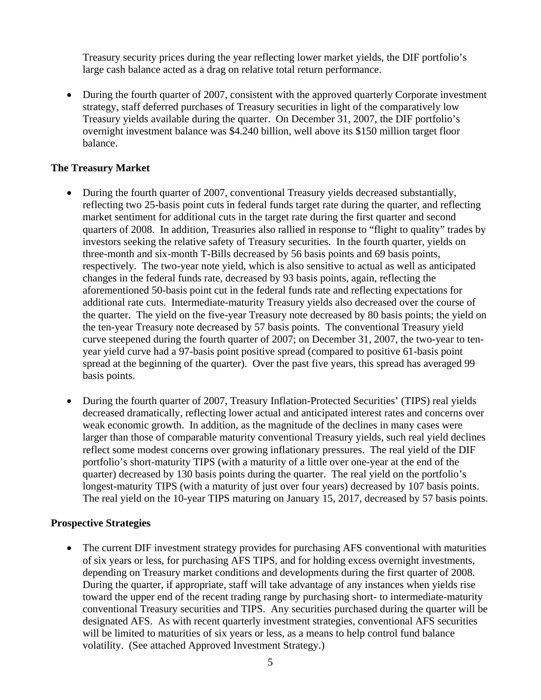Treasury security prices during the year reflecting lower market yields, the DIF portfolio's large cash balance acted as a drag on relative total return performance.

• During the fourth quarter of 2007, consistent with the approved quarterly Corporate investment strategy, staff deferred purchases of Treasury securities in light of the comparatively low Treasury yields available during the quarter. On December 31, 2007, the DIF portfolio's overnight investment balance was \$4.240 billion, well above its \$150 million target floor balance.

#### **The Treasury Market**

- During the fourth quarter of 2007, conventional Treasury yields decreased substantially, reflecting two 25-basis point cuts in federal funds target rate during the quarter, and reflecting market sentiment for additional cuts in the target rate during the first quarter and second quarters of 2008. In addition, Treasuries also rallied in response to "flight to quality" trades by investors seeking the relative safety of Treasury securities. In the fourth quarter, yields on three-month and six-month T-Bills decreased by 56 basis points and 69 basis points, respectively. The two-year note yield, which is also sensitive to actual as well as anticipated changes in the federal funds rate, decreased by 93 basis points, again, reflecting the aforementioned 50-basis point cut in the federal funds rate and reflecting expectations for additional rate cuts. Intermediate-maturity Treasury yields also decreased over the course of the quarter. The yield on the five-year Treasury note decreased by 80 basis points; the yield on the ten-year Treasury note decreased by 57 basis points. The conventional Treasury yield curve steepened during the fourth quarter of 2007; on December 31, 2007, the two-year to tenyear yield curve had a 97-basis point positive spread (compared to positive 61-basis point spread at the beginning of the quarter). Over the past five years, this spread has averaged 99 basis points.
- During the fourth quarter of 2007, Treasury Inflation-Protected Securities' (TIPS) real yields decreased dramatically, reflecting lower actual and anticipated interest rates and concerns over weak economic growth. In addition, as the magnitude of the declines in many cases were larger than those of comparable maturity conventional Treasury yields, such real yield declines reflect some modest concerns over growing inflationary pressures. The real yield of the DIF portfolio's short-maturity TIPS (with a maturity of a little over one-year at the end of the quarter) decreased by 130 basis points during the quarter. The real yield on the portfolio's longest-maturity TIPS (with a maturity of just over four years) decreased by 107 basis points. The real yield on the 10-year TIPS maturing on January 15, 2017, decreased by 57 basis points.

#### **Prospective Strategies**

• The current DIF investment strategy provides for purchasing AFS conventional with maturities of six years or less, for purchasing AFS TIPS, and for holding excess overnight investments, depending on Treasury market conditions and developments during the first quarter of 2008. During the quarter, if appropriate, staff will take advantage of any instances when yields rise toward the upper end of the recent trading range by purchasing short- to intermediate-maturity conventional Treasury securities and TIPS. Any securities purchased during the quarter will be designated AFS. As with recent quarterly investment strategies, conventional AFS securities will be limited to maturities of six years or less, as a means to help control fund balance volatility. (See attached Approved Investment Strategy.)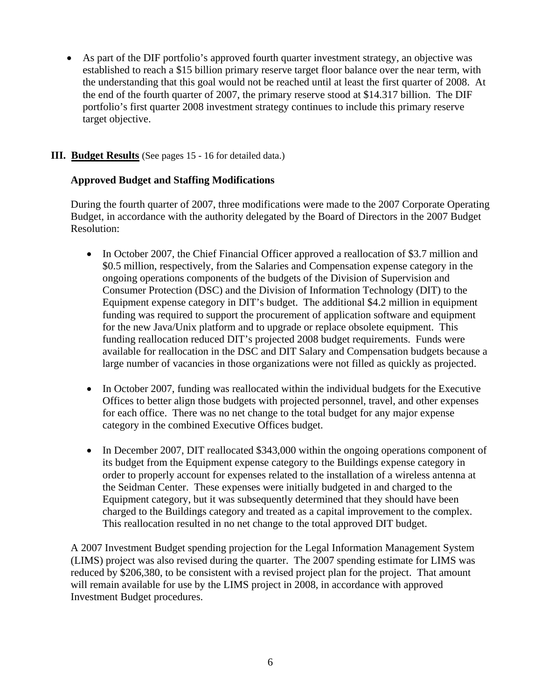• As part of the DIF portfolio's approved fourth quarter investment strategy, an objective was established to reach a \$15 billion primary reserve target floor balance over the near term, with the understanding that this goal would not be reached until at least the first quarter of 2008. At the end of the fourth quarter of 2007, the primary reserve stood at \$14.317 billion. The DIF portfolio's first quarter 2008 investment strategy continues to include this primary reserve target objective.

#### **III. Budget Results** (See pages 15 - 16 for detailed data.)

#### **Approved Budget and Staffing Modifications**

During the fourth quarter of 2007, three modifications were made to the 2007 Corporate Operating Budget, in accordance with the authority delegated by the Board of Directors in the 2007 Budget Resolution:

- In October 2007, the Chief Financial Officer approved a reallocation of \$3.7 million and \$0.5 million, respectively, from the Salaries and Compensation expense category in the ongoing operations components of the budgets of the Division of Supervision and Consumer Protection (DSC) and the Division of Information Technology (DIT) to the Equipment expense category in DIT's budget. The additional \$4.2 million in equipment funding was required to support the procurement of application software and equipment for the new Java/Unix platform and to upgrade or replace obsolete equipment. This funding reallocation reduced DIT's projected 2008 budget requirements. Funds were available for reallocation in the DSC and DIT Salary and Compensation budgets because a large number of vacancies in those organizations were not filled as quickly as projected.
- In October 2007, funding was reallocated within the individual budgets for the Executive Offices to better align those budgets with projected personnel, travel, and other expenses for each office. There was no net change to the total budget for any major expense category in the combined Executive Offices budget.
- In December 2007, DIT reallocated \$343,000 within the ongoing operations component of its budget from the Equipment expense category to the Buildings expense category in order to properly account for expenses related to the installation of a wireless antenna at the Seidman Center. These expenses were initially budgeted in and charged to the Equipment category, but it was subsequently determined that they should have been charged to the Buildings category and treated as a capital improvement to the complex. This reallocation resulted in no net change to the total approved DIT budget.

A 2007 Investment Budget spending projection for the Legal Information Management System (LIMS) project was also revised during the quarter. The 2007 spending estimate for LIMS was reduced by \$206,380, to be consistent with a revised project plan for the project. That amount will remain available for use by the LIMS project in 2008, in accordance with approved Investment Budget procedures.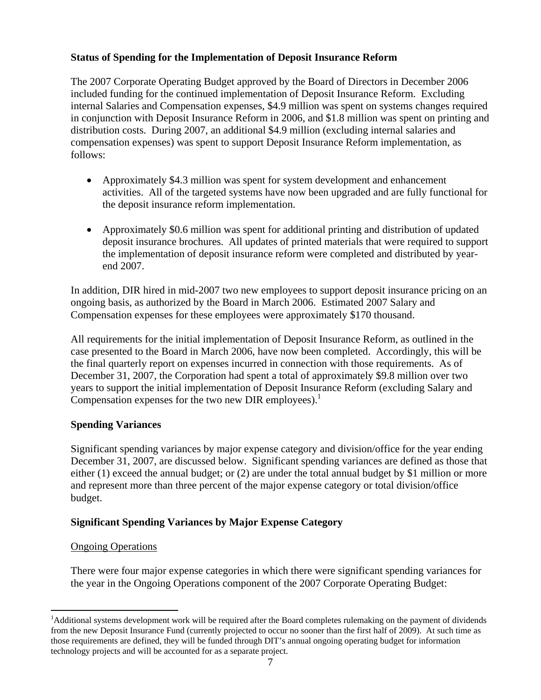#### **Status of Spending for the Implementation of Deposit Insurance Reform**

The 2007 Corporate Operating Budget approved by the Board of Directors in December 2006 included funding for the continued implementation of Deposit Insurance Reform. Excluding internal Salaries and Compensation expenses, \$4.9 million was spent on systems changes required in conjunction with Deposit Insurance Reform in 2006, and \$1.8 million was spent on printing and distribution costs. During 2007, an additional \$4.9 million (excluding internal salaries and compensation expenses) was spent to support Deposit Insurance Reform implementation, as follows:

- Approximately \$4.3 million was spent for system development and enhancement activities. All of the targeted systems have now been upgraded and are fully functional for the deposit insurance reform implementation.
- Approximately \$0.6 million was spent for additional printing and distribution of updated deposit insurance brochures. All updates of printed materials that were required to support the implementation of deposit insurance reform were completed and distributed by yearend 2007.

In addition, DIR hired in mid-2007 two new employees to support deposit insurance pricing on an ongoing basis, as authorized by the Board in March 2006. Estimated 2007 Salary and Compensation expenses for these employees were approximately \$170 thousand.

All requirements for the initial implementation of Deposit Insurance Reform, as outlined in the case presented to the Board in March 2006, have now been completed. Accordingly, this will be the final quarterly report on expenses incurred in connection with those requirements. As of December 31, 2007, the Corporation had spent a total of approximately \$9.8 million over two years to support the initial implementation of Deposit Insurance Reform (excluding Salary and Compensation expenses for the two new DIR employees).<sup>1</sup>

#### **Spending Variances**

Significant spending variances by major expense category and division/office for the year ending December 31, 2007, are discussed below. Significant spending variances are defined as those that either (1) exceed the annual budget; or (2) are under the total annual budget by \$1 million or more and represent more than three percent of the major expense category or total division/office budget.

#### **Significant Spending Variances by Major Expense Category**

#### Ongoing Operations

 $\overline{a}$ 

There were four major expense categories in which there were significant spending variances for the year in the Ongoing Operations component of the 2007 Corporate Operating Budget:

<sup>&</sup>lt;sup>1</sup>Additional systems development work will be required after the Board completes rulemaking on the payment of dividends from the new Deposit Insurance Fund (currently projected to occur no sooner than the first half of 2009). At such time as those requirements are defined, they will be funded through DIT's annual ongoing operating budget for information technology projects and will be accounted for as a separate project.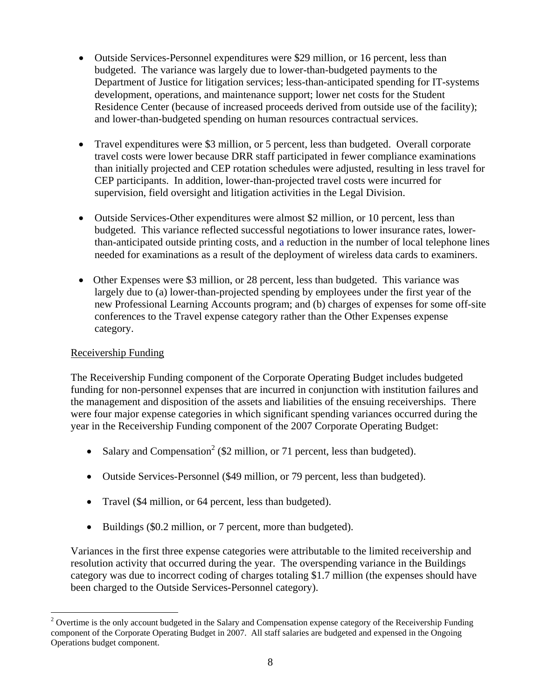- Outside Services-Personnel expenditures were \$29 million, or 16 percent, less than budgeted. The variance was largely due to lower-than-budgeted payments to the Department of Justice for litigation services; less-than-anticipated spending for IT-systems development, operations, and maintenance support; lower net costs for the Student Residence Center (because of increased proceeds derived from outside use of the facility); and lower-than-budgeted spending on human resources contractual services.
- Travel expenditures were \$3 million, or 5 percent, less than budgeted. Overall corporate travel costs were lower because DRR staff participated in fewer compliance examinations than initially projected and CEP rotation schedules were adjusted, resulting in less travel for CEP participants. In addition, lower-than-projected travel costs were incurred for supervision, field oversight and litigation activities in the Legal Division.
- Outside Services-Other expenditures were almost \$2 million, or 10 percent, less than budgeted. This variance reflected successful negotiations to lower insurance rates, lowerthan-anticipated outside printing costs, and a reduction in the number of local telephone lines needed for examinations as a result of the deployment of wireless data cards to examiners.
- Other Expenses were \$3 million, or 28 percent, less than budgeted. This variance was largely due to (a) lower-than-projected spending by employees under the first year of the new Professional Learning Accounts program; and (b) charges of expenses for some off-site conferences to the Travel expense category rather than the Other Expenses expense category.

#### Receivership Funding

 $\overline{a}$ 

The Receivership Funding component of the Corporate Operating Budget includes budgeted funding for non-personnel expenses that are incurred in conjunction with institution failures and the management and disposition of the assets and liabilities of the ensuing receiverships. There were four major expense categories in which significant spending variances occurred during the year in the Receivership Funding component of the 2007 Corporate Operating Budget:

- Salary and Compensation<sup>2</sup> (\$2 million, or 71 percent, less than budgeted).
- Outside Services-Personnel (\$49 million, or 79 percent, less than budgeted).
- Travel (\$4 million, or 64 percent, less than budgeted).
- Buildings (\$0.2 million, or 7 percent, more than budgeted).

Variances in the first three expense categories were attributable to the limited receivership and resolution activity that occurred during the year. The overspending variance in the Buildings category was due to incorrect coding of charges totaling \$1.7 million (the expenses should have been charged to the Outside Services-Personnel category).

 $2$  Overtime is the only account budgeted in the Salary and Compensation expense category of the Receivership Funding component of the Corporate Operating Budget in 2007. All staff salaries are budgeted and expensed in the Ongoing Operations budget component.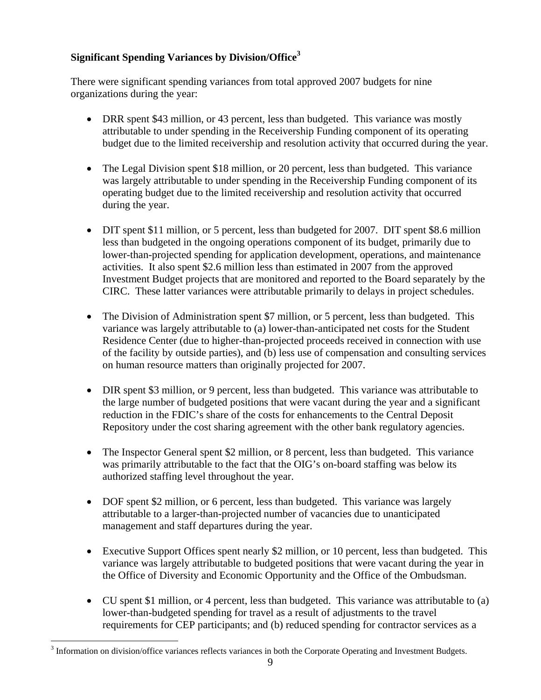### **Significant Spending Variances by Division/Office<sup>3</sup>**

There were significant spending variances from total approved 2007 budgets for nine organizations during the year:

- DRR spent \$43 million, or 43 percent, less than budgeted. This variance was mostly attributable to under spending in the Receivership Funding component of its operating budget due to the limited receivership and resolution activity that occurred during the year.
- The Legal Division spent \$18 million, or 20 percent, less than budgeted. This variance was largely attributable to under spending in the Receivership Funding component of its operating budget due to the limited receivership and resolution activity that occurred during the year.
- DIT spent \$11 million, or 5 percent, less than budgeted for 2007. DIT spent \$8.6 million less than budgeted in the ongoing operations component of its budget, primarily due to lower-than-projected spending for application development, operations, and maintenance activities. It also spent \$2.6 million less than estimated in 2007 from the approved Investment Budget projects that are monitored and reported to the Board separately by the CIRC. These latter variances were attributable primarily to delays in project schedules.
- The Division of Administration spent \$7 million, or 5 percent, less than budgeted. This variance was largely attributable to (a) lower-than-anticipated net costs for the Student Residence Center (due to higher-than-projected proceeds received in connection with use of the facility by outside parties), and (b) less use of compensation and consulting services on human resource matters than originally projected for 2007.
- DIR spent \$3 million, or 9 percent, less than budgeted. This variance was attributable to the large number of budgeted positions that were vacant during the year and a significant reduction in the FDIC's share of the costs for enhancements to the Central Deposit Repository under the cost sharing agreement with the other bank regulatory agencies.
- The Inspector General spent \$2 million, or 8 percent, less than budgeted. This variance was primarily attributable to the fact that the OIG's on-board staffing was below its authorized staffing level throughout the year.
- DOF spent \$2 million, or 6 percent, less than budgeted. This variance was largely attributable to a larger-than-projected number of vacancies due to unanticipated management and staff departures during the year.
- Executive Support Offices spent nearly \$2 million, or 10 percent, less than budgeted. This variance was largely attributable to budgeted positions that were vacant during the year in the Office of Diversity and Economic Opportunity and the Office of the Ombudsman.
- CU spent \$1 million, or 4 percent, less than budgeted. This variance was attributable to (a) lower-than-budgeted spending for travel as a result of adjustments to the travel requirements for CEP participants; and (b) reduced spending for contractor services as a

 $\overline{a}$  $3$  Information on division/office variances reflects variances in both the Corporate Operating and Investment Budgets.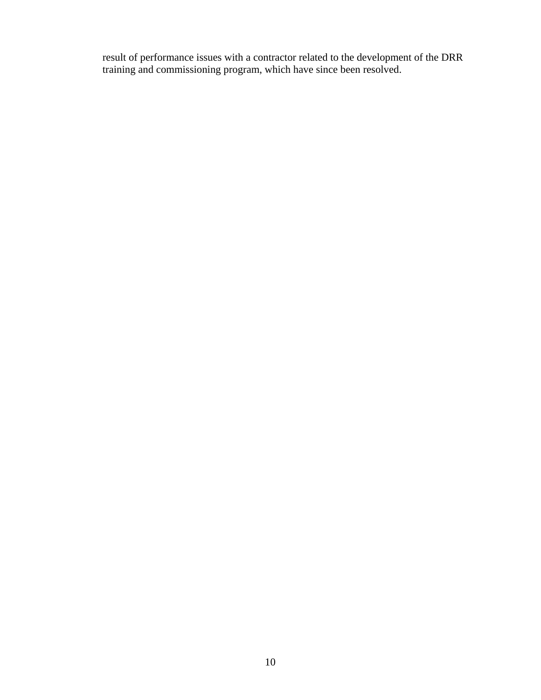result of performance issues with a contractor related to the development of the DRR training and commissioning program, which have since been resolved.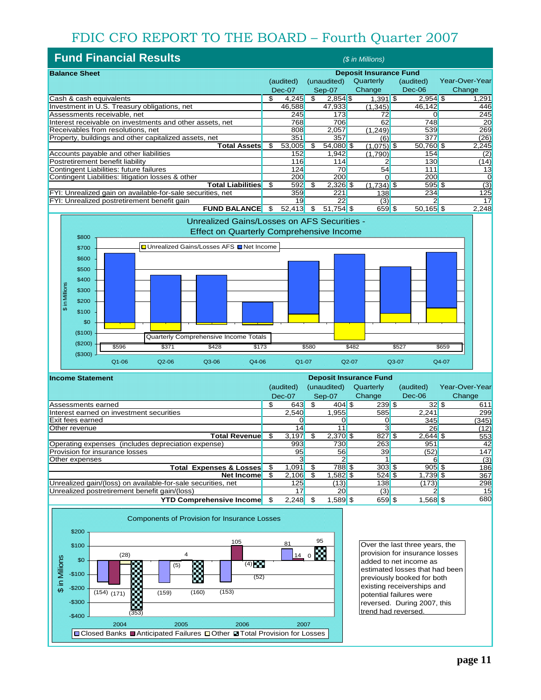### FDIC CFO REPORT TO THE BOARD – Fourth Quarter 2007

| <b>Fund Financial Results</b><br>(\$ in Millions)          |                               |            |             |              |              |                              |                |
|------------------------------------------------------------|-------------------------------|------------|-------------|--------------|--------------|------------------------------|----------------|
| <b>Balance Sheet</b>                                       | <b>Deposit Insurance Fund</b> |            |             |              |              |                              |                |
|                                                            |                               | (audited)  |             | (unaudited)  | Quarterly    | (audited)                    | Year-Over-Year |
|                                                            |                               | Dec-07     |             | Sep-07       | Change       | Dec-06                       | Change         |
| Cash & cash equivalents                                    | \$                            | 4,245      | \$.         | $2,854$ \$   | $1,391$ \$   | $2.954$ \$                   | 1,291          |
| Investment in U.S. Treasury obligations, net               |                               | 46,588     |             | 47,933       | (1,345)      | 46,142                       | 446            |
| Assessments receivable, net                                |                               | 245        |             | 173          | 72           |                              | 245            |
| Interest receivable on investments and other assets, net   |                               | 768        |             | 706          | 62           | 748                          | 20             |
| Receivables from resolutions, net                          |                               | 808        |             | 2,057        | (1.249)      | 539                          | 269            |
| Property, buildings and other capitalized assets, net      |                               | 351        |             | 357          | (6)          | 377                          | (26)           |
| Total Assets                                               | \$                            | 53,005     | \$          | 54,080 \$    | $(1,075)$ \$ | 50,760 \$                    | 2,245          |
| Accounts payable and other liabilities                     |                               | 152        |             | 1.942        | (1,790)      | 154                          | (2)            |
| Postretirement benefit liability                           |                               | 116        |             | 114          |              | 130                          | (14)           |
| Contingent Liabilities: future failures                    |                               | 124        |             | 70           | 54           | 111                          | 13             |
| Contingent Liabilities: litigation losses & other          |                               | 200        |             | 200          |              | 200                          |                |
| <b>Total Liabilities</b>                                   | \$.                           | 592        | \$.         | $2,326$ \$   | $(1,734)$ \$ | 595S                         | (3)            |
| FYI: Unrealized gain on available-for-sale securities, net |                               | 359        |             | 221          | 138          | 234                          | 125            |
| FYI: Unrealized postretirement benefit gain                |                               | 19         |             | 22           | (3)          |                              | 17             |
| FULLO DAL ANOT                                             | $\triangle$                   | $\sqrt{2}$ | $\triangle$ | $FA = A$ $A$ | $C = C$      | $F^{\alpha}$ 40 $F^{\alpha}$ | 0.240          |



| <b>Income Statement</b>                                      | <b>Deposit Insurance Fund</b> |           |    |             |           |            |                |
|--------------------------------------------------------------|-------------------------------|-----------|----|-------------|-----------|------------|----------------|
|                                                              |                               | (audited) |    | (unaudited) | Quarterly | (audited)  | Year-Over-Year |
|                                                              |                               | $Dec-07$  |    | Sep-07      | Change    | Dec-06     | Change         |
| Assessments earned                                           | S                             | 643       |    | $404$ \$    | $239$ \$  | 32S        | 611            |
| Interest earned on investment securities                     |                               | 2,540     |    | 1,955       | 585       | 2,241      | 299            |
| Exit fees earned                                             |                               |           |    |             |           | 345        | (345)          |
| Other revenue                                                |                               | 14        |    |             |           | 26         | (12)           |
| Total Revenue <mark>l</mark>                                 | \$.                           | 3,197     |    | $2,370$ \$  | 827S      | $2,644$ \$ | 553            |
| Operating expenses (includes depreciation expense)           |                               | 993       |    | 730         | 263       | 951        | 42             |
| Provision for insurance losses                               |                               | 95        |    | 56          | 39        | (52)       | 147            |
| Other expenses                                               |                               |           |    |             |           | ฅ          | (3)            |
| <b>Total Expenses &amp; Losses</b>                           | \$                            | 1.091     | \$ | 788 \$      | $303$ \$  | $905$ \$   | 186            |
| <b>Net Income</b>                                            | \$.                           | 2,106     |    | $.582$ \$   | $524$ \$  | $1,739$ \$ | 367            |
| Unrealized gain/(loss) on available-for-sale securities, net |                               | 125       |    | (13)        | 138       | (173)      | 298            |
| Unrealized postretirement benefit gain/(loss)                |                               | 17        |    | 20          | (3)       |            | 15             |
| <b>YTD Comprehensive Income</b>                              |                               | 2,248     |    | $1,589$ \$  | 659 \$    | $1,568$ \$ | 680            |



Over the last three years, the provision for insurance losses added to net income as estimated losses that had been previously booked for both existing receiverships and potential failures were reversed. During 2007, this trend had reversed.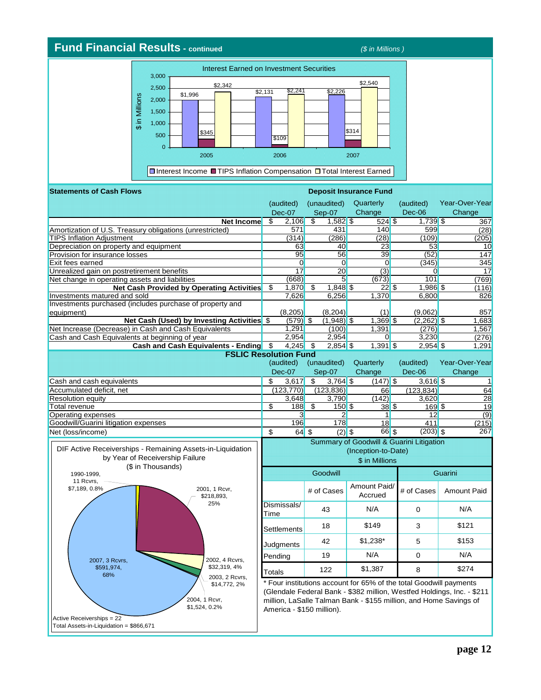#### **Fund Financial Results - continued** *(\$ in Millions )* Interest Earned on Investment Securities 3,000 \$2,540 \$2,342 2,500  $$2,131$   $$2,241$   $$2,226$ \$2,241 \$ in Millions \$ in Millions 2,000 1,500 1,000 \$314 \$345 500 \$109  $\mathbf{0}$ 2005 2006 2007 Interest Income TIPS Inflation Compensation OTotal Interest Earned **Statements of Cash Flows Deposit Insurance Fund**

|                                                                                                                    |                         | (audited)<br><b>Dec-07</b> | (unaudited)<br>Sep-07    | Quarterly<br>Change                                                               |              | (audited)<br>Dec-06 | Year-Over-Year<br>Change                                                                                                                    |
|--------------------------------------------------------------------------------------------------------------------|-------------------------|----------------------------|--------------------------|-----------------------------------------------------------------------------------|--------------|---------------------|---------------------------------------------------------------------------------------------------------------------------------------------|
| <b>Net Income</b>                                                                                                  | \$                      | 2,106                      | \$<br>$1,582$ \$         | $\overline{524}$ \$                                                               |              | $1,739$ \$          | 367                                                                                                                                         |
| Amortization of U.S. Treasury obligations (unrestricted)                                                           |                         | 571                        | 431                      | 140                                                                               |              | 599                 | (28)                                                                                                                                        |
| <b>TIPS Inflation Adjustment</b>                                                                                   |                         | (314)                      | (286)                    | (28)                                                                              |              | (109)               | (205)                                                                                                                                       |
| Depreciation on property and equipment                                                                             |                         | 63                         | 40                       | 23                                                                                |              | 53                  | 10                                                                                                                                          |
| Provision for insurance losses                                                                                     |                         | 95                         | 56                       | 39                                                                                |              | (52)                | 147                                                                                                                                         |
| Exit fees earned                                                                                                   |                         | $\overline{0}$             | $\overline{0}$           | $\Omega$                                                                          |              | (345)               | 345                                                                                                                                         |
| Unrealized gain on postretirement benefits                                                                         |                         | 17                         | $\overline{20}$          | (3)                                                                               |              | $\Omega$            | 17                                                                                                                                          |
| Net change in operating assets and liabilities                                                                     |                         | (668)                      | 5 <sup>5</sup>           | (673)                                                                             |              | 101                 | (769)                                                                                                                                       |
| <b>Net Cash Provided by Operating Activities</b>                                                                   | \$                      | 1,870                      | \$<br>$1,848$ \$         |                                                                                   | $22\sqrt{3}$ | $1,986$ \$          | (116)                                                                                                                                       |
| Investments matured and sold                                                                                       |                         | 7,626                      | 6,256                    | 1,370                                                                             |              | 6,800               | 826                                                                                                                                         |
| Investments purchased (includes purchase of property and                                                           |                         |                            |                          |                                                                                   |              |                     |                                                                                                                                             |
| equipment)                                                                                                         |                         | (8, 205)                   | (8,204)                  | (1)                                                                               |              | (9,062)             | 857                                                                                                                                         |
| Net Cash (Used) by Investing Activities \$                                                                         |                         | $(579)$ \$                 | $(1,948)$ \$             | $1,369$ \$                                                                        |              | $(2,262)$ \$        | 1,683                                                                                                                                       |
| Net Increase (Decrease) in Cash and Cash Equivalents                                                               |                         | 1,291                      | (100)                    | 1,391                                                                             |              | (276)               | 1,567                                                                                                                                       |
| Cash and Cash Equivalents at beginning of year                                                                     |                         | 2,954                      | 2,954                    | $\overline{0}$                                                                    |              | 3,230               | (276)                                                                                                                                       |
| Cash and Cash Equivalents - Ending \$                                                                              |                         | 4,245 \$                   | $2,854$ \$               | $1,391$ \$                                                                        |              | $2,954$ \$          | 1,291                                                                                                                                       |
| <b>FSLIC Resolution Fund</b>                                                                                       |                         |                            |                          |                                                                                   |              |                     |                                                                                                                                             |
|                                                                                                                    |                         | (audited)                  | (unaudited)              | Quarterly                                                                         |              | (audited)           | Year-Over-Year                                                                                                                              |
|                                                                                                                    |                         | Dec-07                     | Sep-07                   | Change                                                                            |              | $Dec-06$            | Change                                                                                                                                      |
| Cash and cash equivalents                                                                                          | \$                      | 3,617                      | \$<br>$3,764$ \$         | $(147)$ \$                                                                        |              | $3,616$ \$          |                                                                                                                                             |
| Accumulated deficit, net                                                                                           |                         | (123, 770)                 | (123, 836)               | 66                                                                                |              | (123.834)           | 64                                                                                                                                          |
| <b>Resolution equity</b>                                                                                           |                         | 3,648                      | 3,790                    | (142)                                                                             |              | 3,620               | 28                                                                                                                                          |
| Total revenue                                                                                                      | \$                      | 188                        | \$<br>$\frac{150}{9}$ \$ |                                                                                   | 38S          | 169S                | 19                                                                                                                                          |
| Operating expenses                                                                                                 |                         | 3                          | 2                        | $\vert$                                                                           |              | 12                  | (9)                                                                                                                                         |
| Goodwill/Guarini litigation expenses                                                                               |                         | 196                        | 178                      | 18                                                                                |              | 411                 | (215)                                                                                                                                       |
| Net (loss/income)                                                                                                  | $\overline{\mathbf{s}}$ | 64S                        | $(2)$ \$                 |                                                                                   | $66$ $$$     | $(203)$ \$          | 267                                                                                                                                         |
| DIF Active Receiverships - Remaining Assets-in-Liquidation<br>by Year of Receivership Failure<br>(\$ in Thousands) |                         |                            |                          | Summary of Goodwill & Guarini Litigation<br>(Inception-to-Date)<br>\$ in Millions |              |                     |                                                                                                                                             |
| 1990-1999,<br>11 Rcvrs,                                                                                            |                         |                            | Goodwill                 |                                                                                   |              |                     | <b>Guarini</b>                                                                                                                              |
| \$7,189, 0.8%<br>2001, 1 Rcvr,<br>\$218,893,                                                                       |                         |                            | # of Cases               | Amount Paid/<br>Accrued                                                           |              | # of Cases          | Amount Paid                                                                                                                                 |
| 25%                                                                                                                | Time                    | Dismissals/                | 43                       | N/A                                                                               |              | $\Omega$            | N/A                                                                                                                                         |
|                                                                                                                    |                         | Settlements                | 18                       | \$149                                                                             |              | 3                   | \$121                                                                                                                                       |
| 2002, 4 Rcvrs,<br>2007, 3 Rcvrs,                                                                                   |                         | Judgments                  | 42                       | \$1,238*                                                                          |              | 5                   | \$153                                                                                                                                       |
|                                                                                                                    |                         | Pending                    | 19                       | N/A                                                                               |              | $\Omega$            | N/A                                                                                                                                         |
| \$32,319,4%<br>\$591,974,<br>68%<br>2003, 2 Rcvrs,                                                                 | <b>Totals</b>           |                            | 122                      | \$1,387                                                                           |              | 8                   | \$274                                                                                                                                       |
| \$14,772, 2%<br>2004, 1 Rcvr,<br>\$1,524, 0.2%<br>Active Receiverships = 22                                        |                         | America - \$150 million).  |                          | * Four institutions account for 65% of the total Goodwill payments                |              |                     | (Glendale Federal Bank - \$382 million, Westfed Holdings, Inc. - \$211<br>million, LaSalle Talman Bank - \$155 million, and Home Savings of |
| Total Assets-in-Liquidation = \$866,671                                                                            |                         |                            |                          |                                                                                   |              |                     |                                                                                                                                             |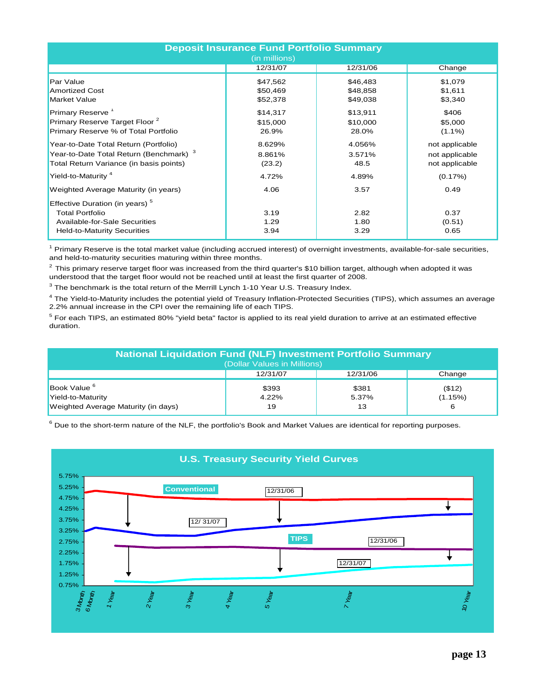| <b>Deposit Insurance Fund Portfolio Summary</b><br>(in millions)                                                                            |                                  |                                  |                                                    |  |  |  |  |
|---------------------------------------------------------------------------------------------------------------------------------------------|----------------------------------|----------------------------------|----------------------------------------------------|--|--|--|--|
|                                                                                                                                             | 12/31/07                         | 12/31/06                         | Change                                             |  |  |  |  |
| <b>Par Value</b><br><b>Amortized Cost</b><br><b>Market Value</b>                                                                            | \$47,562<br>\$50,469<br>\$52,378 | \$46,483<br>\$48,858<br>\$49,038 | \$1,079<br>\$1,611<br>\$3,340                      |  |  |  |  |
| Primary Reserve <sup>1</sup><br>Primary Reserve Target Floor <sup>2</sup><br>Primary Reserve % of Total Portfolio                           | \$14,317<br>\$15,000<br>26.9%    | \$13,911<br>\$10,000<br>28.0%    | \$406<br>\$5,000<br>$(1.1\%)$                      |  |  |  |  |
| Year-to-Date Total Return (Portfolio)<br>Year-to-Date Total Return (Benchmark) <sup>3</sup><br>Total Return Variance (in basis points)      | 8.629%<br>8.861%<br>(23.2)       | 4.056%<br>3.571%<br>48.5         | not applicable<br>not applicable<br>not applicable |  |  |  |  |
| Yield-to-Maturity <sup>4</sup>                                                                                                              | 4.72%                            | 4.89%                            | (0.17%)                                            |  |  |  |  |
| Weighted Average Maturity (in years)                                                                                                        | 4.06                             | 3.57                             | 0.49                                               |  |  |  |  |
| Effective Duration (in years) <sup>5</sup><br><b>Total Portfolio</b><br>Available-for-Sale Securities<br><b>Held-to-Maturity Securities</b> | 3.19<br>1.29<br>3.94             | 2.82<br>1.80<br>3.29             | 0.37<br>(0.51)<br>0.65                             |  |  |  |  |

<sup>1</sup> Primary Reserve is the total market value (including accrued interest) of overnight investments, available-for-sale securities, and held-to-maturity securities maturing within three months.

 $2$  This primary reserve target floor was increased from the third quarter's \$10 billion target, although when adopted it was understood that the target floor would not be reached until at least the first quarter of 2008.

 $3$  The benchmark is the total return of the Merrill Lynch 1-10 Year U.S. Treasury Index.

<sup>4</sup> The Yield-to-Maturity includes the potential yield of Treasury Inflation-Protected Securities (TIPS), which assumes an average 2.2% annual increase in the CPI over the remaining life of each TIPS.

 $^5$  For each TIPS, an estimated 80% "yield beta" factor is applied to its real yield duration to arrive at an estimated effective duration.

| <b>National Liquidation Fund (NLF) Investment Portfolio Summary</b><br>(Dollar Values in Millions) |                                |                      |                        |  |  |  |  |
|----------------------------------------------------------------------------------------------------|--------------------------------|----------------------|------------------------|--|--|--|--|
|                                                                                                    | 12/31/06<br>12/31/07<br>Change |                      |                        |  |  |  |  |
| Book Value <sup>6</sup><br>Yield-to-Maturity<br>Weighted Average Maturity (in days)                | \$393<br>4.22%<br>19           | \$381<br>5.37%<br>13 | (\$12)<br>(1.15%)<br>6 |  |  |  |  |

 $^6$  Due to the short-term nature of the NLF, the portfolio's Book and Market Values are identical for reporting purposes.

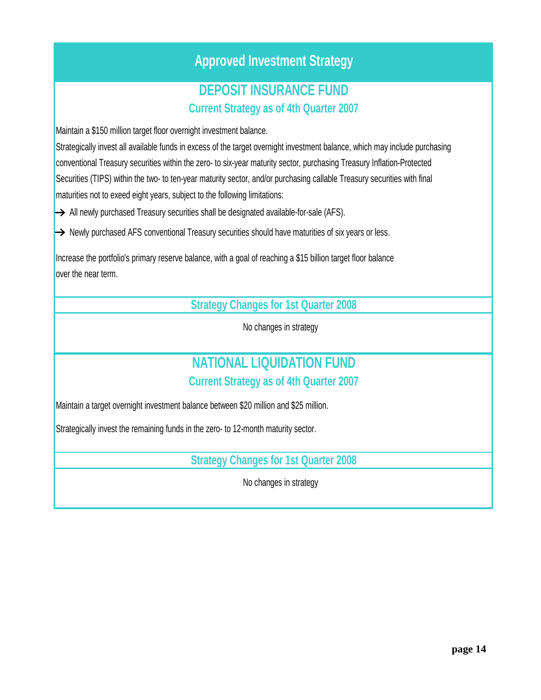## **Approved Investment Strategy**

# **Current Strategy as of 4th Quarter 2007 DEPOSIT INSURANCE FUND**

Maintain a \$150 million target floor overnight investment balance.

Strategically invest all available funds in excess of the target overnight investment balance, which may include purchasing conventional Treasury securities within the zero- to six-year maturity sector, purchasing Treasury Inflation-Protected Securities (TIPS) within the two- to ten-year maturity sector, and/or purchasing callable Treasury securities with final maturities not to exeed eight years, subject to the following limitations:

 $\rightarrow$  All newly purchased Treasury securities shall be designated available-for-sale (AFS).

 $\rightarrow$  Newly purchased AFS conventional Treasury securities should have maturities of six years or less.

Increase the portfolio's primary reserve balance, with a goal of reaching a \$15 billion target floor balance over the near term.

**Strategy Changes for 1st Quarter 2008**

No changes in strategy

### **Current Strategy as of 4th Quarter 2007 NATIONAL LIQUIDATION FUND**

Maintain a target overnight investment balance between \$20 million and \$25 million.

Strategically invest the remaining funds in the zero- to 12-month maturity sector.

**Strategy Changes for 1st Quarter 2008**

No changes in strategy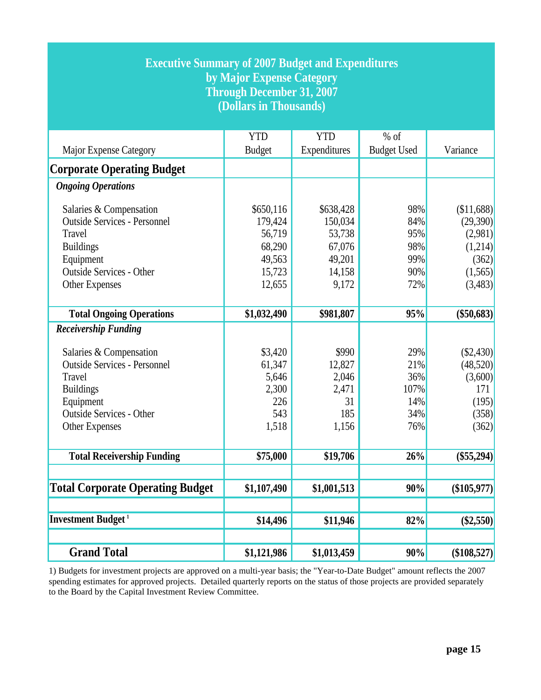| <b>Executive Summary of 2007 Budget and Expenditures</b><br>by Major Expense Category<br><b>Through December 31, 2007</b><br>(Dollars in Thousands) |                             |                            |                              |               |  |  |  |
|-----------------------------------------------------------------------------------------------------------------------------------------------------|-----------------------------|----------------------------|------------------------------|---------------|--|--|--|
| Major Expense Category                                                                                                                              | <b>YTD</b><br><b>Budget</b> | <b>YTD</b><br>Expenditures | $%$ of<br><b>Budget Used</b> | Variance      |  |  |  |
| <b>Corporate Operating Budget</b>                                                                                                                   |                             |                            |                              |               |  |  |  |
| <b>Ongoing Operations</b>                                                                                                                           |                             |                            |                              |               |  |  |  |
|                                                                                                                                                     |                             |                            |                              |               |  |  |  |
| Salaries & Compensation                                                                                                                             | \$650,116                   | \$638,428                  | 98%                          | \$11,688      |  |  |  |
| <b>Outside Services - Personnel</b>                                                                                                                 | 179,424                     | 150,034                    | 84%                          | (29,390)      |  |  |  |
| Travel                                                                                                                                              | 56,719                      | 53,738                     | 95%                          | (2,981)       |  |  |  |
| <b>Buildings</b>                                                                                                                                    | 68,290                      | 67,076                     | 98%                          | (1,214)       |  |  |  |
| Equipment                                                                                                                                           | 49,563                      | 49,201                     | 99%                          | (362)         |  |  |  |
| <b>Outside Services - Other</b>                                                                                                                     | 15,723                      | 14,158                     | 90%                          | (1,565)       |  |  |  |
| <b>Other Expenses</b>                                                                                                                               | 12,655                      | 9,172                      | 72%                          | (3,483)       |  |  |  |
| <b>Total Ongoing Operations</b>                                                                                                                     | \$1,032,490                 | \$981,807                  | 95%                          | $(\$50,683)$  |  |  |  |
| <b>Receivership Funding</b>                                                                                                                         |                             |                            |                              |               |  |  |  |
| Salaries & Compensation                                                                                                                             | \$3,420                     | \$990                      | 29%                          | (S2,430)      |  |  |  |
| <b>Outside Services - Personnel</b>                                                                                                                 | 61,347                      | 12,827                     | 21%                          | (48,520)      |  |  |  |
| Travel                                                                                                                                              | 5,646                       | 2,046                      | 36%                          | (3,600)       |  |  |  |
| <b>Buildings</b>                                                                                                                                    | 2,300                       | 2,471                      | 107%                         | 171           |  |  |  |
| Equipment                                                                                                                                           | 226                         | 31                         | 14%                          | (195)         |  |  |  |
| <b>Outside Services - Other</b>                                                                                                                     | 543                         | 185                        | 34%                          | (358)         |  |  |  |
| <b>Other Expenses</b>                                                                                                                               | 1,518                       | 1,156                      | 76%                          | (362)         |  |  |  |
|                                                                                                                                                     |                             |                            |                              |               |  |  |  |
| <b>Total Receivership Funding</b>                                                                                                                   | \$75,000                    | \$19,706                   | 26%                          | $(\$55,294)$  |  |  |  |
| <b>Total Corporate Operating Budget</b>                                                                                                             | \$1,107,490                 | \$1,001,513                | 90%                          | $(\$105,977)$ |  |  |  |
| <b>Investment Budget</b> <sup>1</sup>                                                                                                               |                             |                            |                              |               |  |  |  |
|                                                                                                                                                     | \$14,496                    | \$11,946                   | 82%                          | $(\$2,550)$   |  |  |  |
| <b>Grand Total</b>                                                                                                                                  | \$1,121,986                 | \$1,013,459                | 90%                          | (\$108,527)   |  |  |  |

1) Budgets for investment projects are approved on a multi-year basis; the "Year-to-Date Budget" amount reflects the 2007 spending estimates for approved projects. Detailed quarterly reports on the status of those projects are provided separately to the Board by the Capital Investment Review Committee.